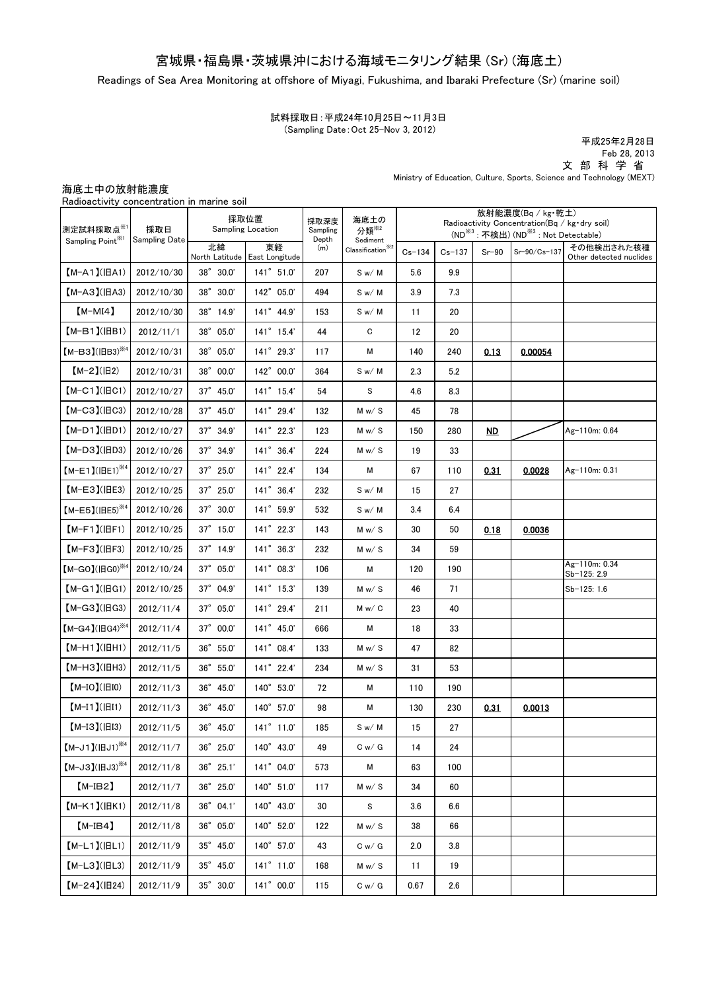# 宮城県・福島県・茨城県沖における海域モニタリング結果 (Sr) (海底土)

Readings of Sea Area Monitoring at offshore of Miyagi, Fukushima, and Ibaraki Prefecture (Sr) (marine soil)

試料採取日:平成24年10月25日~11月3日 (Sampling Date:Oct 25-Nov 3, 2012)

平成25年2月28日 Feb 28, 2013 文 部 科 学 省 Ministry of Education, Culture, Sports, Science and Technology (MEXT)

## 海底土中の放射能濃度

Radioactivity concentration in marine soil

| 測定試料採取点※1<br>Sampling Point <sup>**1</sup> | 採取日<br>Sampling Date | 採取位置<br><b>Sampling Location</b> |                                     | 採取深度<br>Sampling | 海底土の<br>分類 <sup>※2</sup>                                                                                        | 放射能濃度(Bq / kg·乾土)<br>Radioactivity Concentration (Bq / kg · dry soil)<br>(ND <sup>※3</sup> : 不検出) (ND <sup>※3</sup> : Not Detectable) |            |                 |              |                                       |
|--------------------------------------------|----------------------|----------------------------------|-------------------------------------|------------------|-----------------------------------------------------------------------------------------------------------------|---------------------------------------------------------------------------------------------------------------------------------------|------------|-----------------|--------------|---------------------------------------|
|                                            |                      | 北緯                               | 東経<br>North Latitude East Longitude | Depth<br>(m)     | Sediment<br>$\textbf{Classification}^{\textcolor{red}{\tilde{\textbf{3}}}\textcolor{blue}{\tilde{\textbf{3}}}}$ | $Cs - 134$                                                                                                                            | $Cs - 137$ | $Sr-90$         | Sr-90/Cs-137 | その他検出された核種<br>Other detected nuclides |
| $[M-A1](HA1)$                              | 2012/10/30           | 38° 30.0'                        | 141° 51.0'                          | 207              | S w/M                                                                                                           | 5.6                                                                                                                                   | 9.9        |                 |              |                                       |
| $[M-A3](HA3)$                              | 2012/10/30           | 38° 30.0'                        | 142° 05.0'                          | 494              | S w/M                                                                                                           | 3.9                                                                                                                                   | 7.3        |                 |              |                                       |
| $[M-MI4]$                                  | 2012/10/30           | 38° 14.9'                        | 141° 44.9'                          | 153              | S w/M                                                                                                           | 11                                                                                                                                    | 20         |                 |              |                                       |
| $(M-B1)(IBB1)$                             | 2012/11/1            | 38° 05.0'                        | 141° 15.4'                          | 44               | C                                                                                                               | 12                                                                                                                                    | 20         |                 |              |                                       |
| $[M-B3] (IBB3)$ <sup>34</sup>              | 2012/10/31           | 38° 05.0'                        | 141° 29.3'                          | 117              | М                                                                                                               | 140                                                                                                                                   | 240        | 0.13            | 0.00054      |                                       |
| $[M-2](B2)$                                | 2012/10/31           | $38^{\circ}$ 00.0'               | 142° 00.0'                          | 364              | S w/M                                                                                                           | 2.3                                                                                                                                   | 5.2        |                 |              |                                       |
| $[M-C1]$ ( $ HCl$ )                        | 2012/10/27           | $37^{\circ}$ 45.0                | $141^{\circ}$ 15.4'                 | 54               | S                                                                                                               | 4.6                                                                                                                                   | 8.3        |                 |              |                                       |
| $[M-C3]$ ( $ HC3$ )                        | 2012/10/28           | $37^{\circ}$ 45.0                | 141° 29.4'                          | 132              | M w / S                                                                                                         | 45                                                                                                                                    | 78         |                 |              |                                       |
| $(M-D1)(HD1)$                              | 2012/10/27           | $37^\circ$ $34.9'$               | 141° 22.3'                          | 123              | M w/ S                                                                                                          | 150                                                                                                                                   | 280        | $\overline{MD}$ |              | Ag-110m: 0.64                         |
| $(M-D3)(HD3)$                              | 2012/10/26           | $37^\circ$ $34.9'$               | $141^{\circ}$ 36.4'                 | 224              | M w / S                                                                                                         | 19                                                                                                                                    | 33         |                 |              |                                       |
| $[M-E1] ( HE1)^{1/4}$                      | 2012/10/27           | $37^{\circ}$ 25.0                | 141° 22.4'                          | 134              | М                                                                                                               | 67                                                                                                                                    | 110        | 0.31            | 0.0028       | Ag-110m: 0.31                         |
| $[M-E3]$ ( $ HE3$ )                        | 2012/10/25           | 37° 25.0'                        | $141^{\circ}$ 36.4'                 | 232              | S w/M                                                                                                           | 15                                                                                                                                    | 27         |                 |              |                                       |
| $[M-E5]$ (IEE5) <sup>344</sup>             | 2012/10/26           | 37° 30.0'                        | 141° 59.9'                          | 532              | S w/M                                                                                                           | 3.4                                                                                                                                   | 6.4        |                 |              |                                       |
| $(M-F1)(HF1)$                              | 2012/10/25           | $37^{\circ}$ 15.0'               | 141° 22.3'                          | 143              | M w / S                                                                                                         | 30                                                                                                                                    | 50         | 0.18            | 0.0036       |                                       |
| $[M-F3]$ ( $ HF3$ )                        | 2012/10/25           | $37^\circ$ 14.9'                 | $141^{\circ}$ 36.3'                 | 232              | M w / S                                                                                                         | 34                                                                                                                                    | 59         |                 |              |                                       |
| $[M-GO](\text{H}GO)^{\times 4}$            | 2012/10/24           | $37^{\circ}$ 05.0'               | $141^{\circ}$ 08.3'                 | 106              | М                                                                                                               | 120                                                                                                                                   | 190        |                 |              | Ag-110m: 0.34<br>Sb-125: 2.9          |
| $[M-G1]$ ( $ HG1$ )                        | 2012/10/25           | 37° 04.9'                        | $141^{\circ}$ 15.3'                 | 139              | M w / S                                                                                                         | 46                                                                                                                                    | 71         |                 |              | Sb-125: 1.6                           |
| $[M-G3]$ ( $ HG3$ )                        | 2012/11/4            | $37^{\circ}$ 05.0'               | 141° 29.4'                          | 211              | M w / C                                                                                                         | 23                                                                                                                                    | 40         |                 |              |                                       |
| $[M-G4] (H G4)^{4}$                        | 2012/11/4            | $37^{\circ}$ 00.0'               | 141° 45.0'                          | 666              | М                                                                                                               | 18                                                                                                                                    | 33         |                 |              |                                       |
| $(M-H1)(HH1)$                              | 2012/11/5            | 36° 55.0'                        | 141° 08.4'                          | 133              | M w / S                                                                                                         | 47                                                                                                                                    | 82         |                 |              |                                       |
| $(M-H3)(HHH3)$                             | 2012/11/5            | $36^{\circ}$ 55.0                | 141° 22.4'                          | 234              | M w / S                                                                                                         | 31                                                                                                                                    | 53         |                 |              |                                       |
| $[M-IO]([HIO)$                             | 2012/11/3            | 36° 45.0'                        | 140° 53.0'                          | 72               | М                                                                                                               | 110                                                                                                                                   | 190        |                 |              |                                       |
| $[M-I1]( H1)$                              | 2012/11/3            | 36° 45.0'                        | 140° 57.0'                          | 98               | М                                                                                                               | 130                                                                                                                                   | 230        | 0.31            | 0.0013       |                                       |
| $[M-I3](H13)$                              | 2012/11/5            | 36° 45.0'                        | 141° 11.0'                          | 185              | S w/M                                                                                                           | 15                                                                                                                                    | 27         |                 |              |                                       |
| $[M-J1] (HJI)^{M}$                         | 2012/11/7            | 36° 25.0'                        | 140° 43.0'                          | 49               | C w / G                                                                                                         | 14                                                                                                                                    | 24         |                 |              |                                       |
| $[M-J3]$ ( $[HJ3]$ <sup>\*4</sup>          | 2012/11/8            | 36° 25.1'                        | 141° 04.0'                          | 573              | М                                                                                                               | 63                                                                                                                                    | 100        |                 |              |                                       |
| $[M-IB2]$                                  | 2012/11/7            | $36^{\circ}$ 25.0'               | 140° 51.0'                          | 117              | M w / S                                                                                                         | 34                                                                                                                                    | 60         |                 |              |                                       |
| $[M-K1](HK1)$                              | 2012/11/8            | $36^{\circ}$ 04.1'               | 140° 43.0'                          | 30               | S                                                                                                               | 3.6                                                                                                                                   | 6.6        |                 |              |                                       |
| $[M-IB4]$                                  | 2012/11/8            | $36^{\circ}$ 05.0'               | 140° 52.0'                          | 122              | M w / S                                                                                                         | 38                                                                                                                                    | 66         |                 |              |                                       |
| $[M-L1]( HL1)$                             | 2012/11/9            | 35° 45.0'                        | 140° 57.0'                          | 43               | C w / G                                                                                                         | 2.0                                                                                                                                   | 3.8        |                 |              |                                       |
| $[M-L3]( HL3)$                             | 2012/11/9            | $35^{\circ}$ 45.0'               | $141^{\circ}$ 11.0'                 | 168              | M w / S                                                                                                         | 11                                                                                                                                    | 19         |                 |              |                                       |
| $[M-24](H24)$                              | 2012/11/9            | $35^{\circ}$ $30.0^{\prime}$     | 141° 00.0'                          | 115              | C w / G                                                                                                         | 0.67                                                                                                                                  | $2.6\,$    |                 |              |                                       |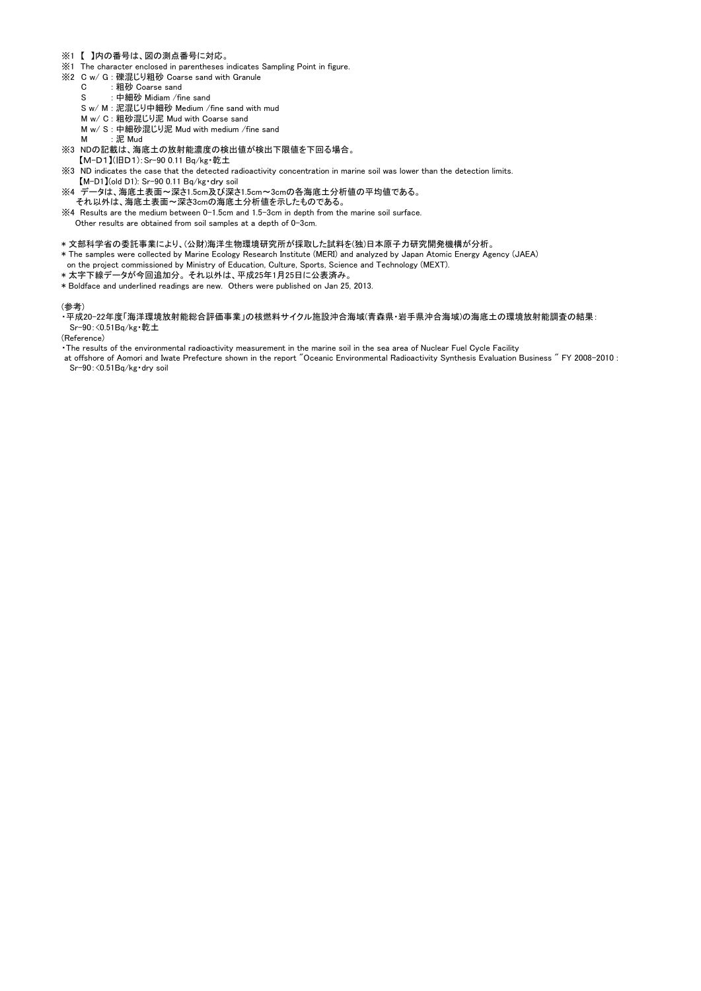- ※1 【 】内の番号は、図の測点番号に対応。
- ※1 The character enclosed in parentheses indicates Sampling Point in figure.
- ※2 C w/ G : 礫混じり粗砂 Coarse sand with Granule
	- C · 粗砂 Coarse sand
	- S : 中細砂 Midiam /fine sand
	- S w/ M : 泥混じり中細砂 Medium /fine sand with mud
	- M w/ C : 粗砂混じり泥 Mud with Coarse sand
	- M w/ S : 中細砂混じり泥 Mud with medium /fine sand
	- M · 泥 Mud
- ※3 NDの記載は、海底土の放射能濃度の検出値が検出下限値を下回る場合。
- 【M-D1】(旧D1):Sr-90 0.11 Bq/kg・乾土
- ※3 ND indicates the case that the detected radioactivity concentration in marine soil was lower than the detection limits. 【M-D1】(old D1): Sr-90 0.11 Bq/kg・dry soil
- ※4 データは、海底土表面~深さ1.5cm及び深さ1.5cm~3cmの各海底土分析値の平均値である。 それ以外は、海底土表面~深さ3cmの海底土分析値を示したものである。
- ※4 Results are the medium between 0-1.5cm and 1.5-3cm in depth from the marine soil surface. Other results are obtained from soil samples at a depth of 0-3cm.
- \* 文部科学省の委託事業により、(公財)海洋生物環境研究所が採取した試料を(独)日本原子力研究開発機構が分析。
- \* The samples were collected by Marine Ecology Research Institute (MERI) and analyzed by Japan Atomic Energy Agency (JAEA)
- on the project commissioned by Ministry of Education, Culture, Sports, Science and Technology (MEXT).
- \* 太字下線データが今回追加分。 それ以外は、平成25年1月25日に公表済み。
- \* Boldface and underlined readings are new. Others were published on Jan 25, 2013.

#### (参考)

・平成20-22年度「海洋環境放射能総合評価事業」の核燃料サイクル施設沖合海域(青森県・岩手県沖合海域)の海底土の環境放射能調査の結果: Sr-90:<0.51Bq/kg・乾土

(Reference)

・The results of the environmental radioactivity measurement in the marine soil in the sea area of Nuclear Fuel Cycle Facility

at offshore of Aomori and Iwate Prefecture shown in the report "Oceanic Environmental Radioactivity Synthesis Evaluation Business " FY 2008-2010 : Sr-90:<0.51Bq/kg・dry soil